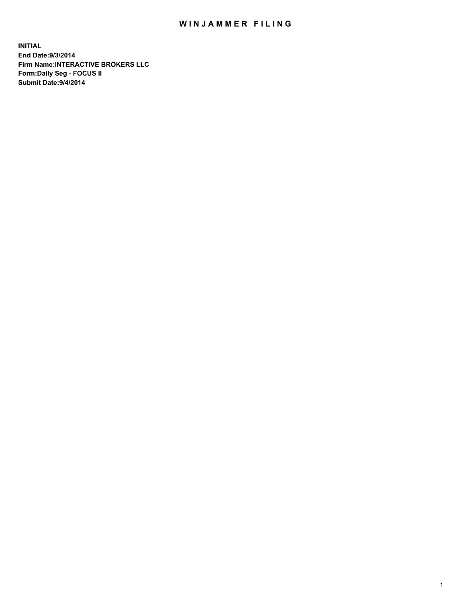## WIN JAMMER FILING

**INITIAL End Date:9/3/2014 Firm Name:INTERACTIVE BROKERS LLC Form:Daily Seg - FOCUS II Submit Date:9/4/2014**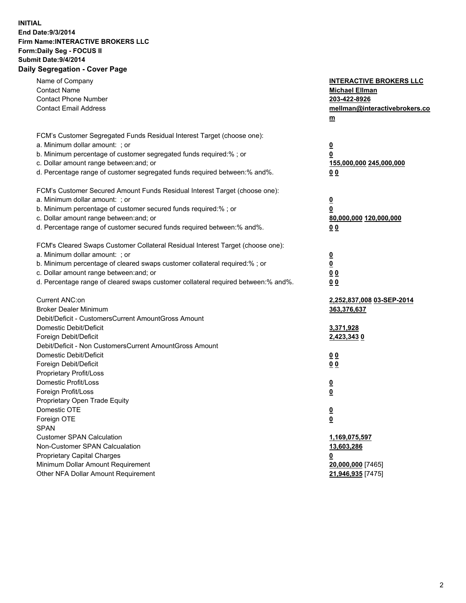## **INITIAL End Date:9/3/2014 Firm Name:INTERACTIVE BROKERS LLC Form:Daily Seg - FOCUS II Submit Date:9/4/2014 Daily Segregation - Cover Page**

| Name of Company<br><b>Contact Name</b><br><b>Contact Phone Number</b><br><b>Contact Email Address</b> | <b>INTERACTIVE BROKERS LLC</b><br><b>Michael Ellman</b><br>203-422-8926<br>mellman@interactivebrokers.co |
|-------------------------------------------------------------------------------------------------------|----------------------------------------------------------------------------------------------------------|
|                                                                                                       | $\underline{\mathbf{m}}$                                                                                 |
| FCM's Customer Segregated Funds Residual Interest Target (choose one):                                |                                                                                                          |
| a. Minimum dollar amount: ; or                                                                        | $\overline{\mathbf{0}}$                                                                                  |
| b. Minimum percentage of customer segregated funds required:% ; or                                    | 0                                                                                                        |
| c. Dollar amount range between: and; or                                                               | 155,000,000 245,000,000                                                                                  |
| d. Percentage range of customer segregated funds required between:% and%.                             | 00                                                                                                       |
| FCM's Customer Secured Amount Funds Residual Interest Target (choose one):                            |                                                                                                          |
| a. Minimum dollar amount: ; or                                                                        | $\overline{\mathbf{0}}$                                                                                  |
| b. Minimum percentage of customer secured funds required:% ; or                                       | 0                                                                                                        |
| c. Dollar amount range between: and; or                                                               | 80,000,000 120,000,000                                                                                   |
| d. Percentage range of customer secured funds required between:% and%.                                | 00                                                                                                       |
| FCM's Cleared Swaps Customer Collateral Residual Interest Target (choose one):                        |                                                                                                          |
| a. Minimum dollar amount: ; or                                                                        | $\overline{\mathbf{0}}$                                                                                  |
| b. Minimum percentage of cleared swaps customer collateral required:% ; or                            | $\overline{\mathbf{0}}$                                                                                  |
| c. Dollar amount range between: and; or                                                               | 0 <sub>0</sub>                                                                                           |
| d. Percentage range of cleared swaps customer collateral required between:% and%.                     | 0 <sub>0</sub>                                                                                           |
| Current ANC:on                                                                                        | 2,252,837,008 03-SEP-2014                                                                                |
| <b>Broker Dealer Minimum</b>                                                                          | 363,376,637                                                                                              |
| Debit/Deficit - CustomersCurrent AmountGross Amount                                                   |                                                                                                          |
| Domestic Debit/Deficit                                                                                | 3,371,928                                                                                                |
| Foreign Debit/Deficit                                                                                 | 2,423,343 0                                                                                              |
| Debit/Deficit - Non CustomersCurrent AmountGross Amount                                               |                                                                                                          |
| Domestic Debit/Deficit                                                                                | 0 <sub>0</sub>                                                                                           |
| Foreign Debit/Deficit                                                                                 | 0 <sub>0</sub>                                                                                           |
| Proprietary Profit/Loss                                                                               |                                                                                                          |
| Domestic Profit/Loss                                                                                  | $\overline{\mathbf{0}}$                                                                                  |
| Foreign Profit/Loss                                                                                   | $\underline{\mathbf{0}}$                                                                                 |
| Proprietary Open Trade Equity                                                                         |                                                                                                          |
| Domestic OTE                                                                                          | <u>0</u>                                                                                                 |
| Foreign OTE                                                                                           | <u>0</u>                                                                                                 |
| <b>SPAN</b>                                                                                           |                                                                                                          |
| <b>Customer SPAN Calculation</b>                                                                      | 1,169,075,597                                                                                            |
| Non-Customer SPAN Calcualation                                                                        | 13,603,286                                                                                               |
| Proprietary Capital Charges                                                                           | <u>0</u>                                                                                                 |
| Minimum Dollar Amount Requirement                                                                     | 20,000,000 [7465]                                                                                        |
| Other NFA Dollar Amount Requirement                                                                   | 21,946,935 [7475]                                                                                        |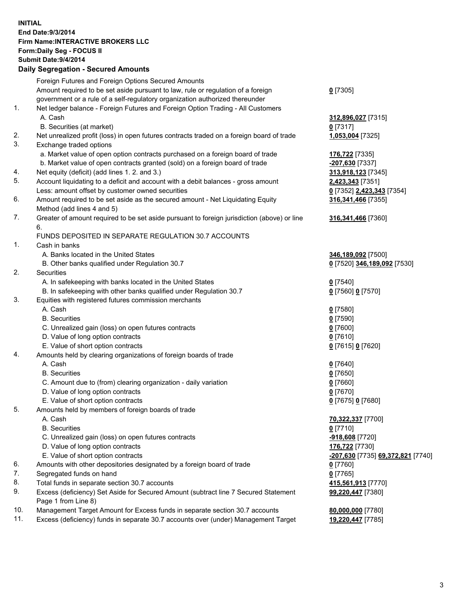## **INITIAL End Date:9/3/2014 Firm Name:INTERACTIVE BROKERS LLC Form:Daily Seg - FOCUS II Submit Date:9/4/2014 Daily Segregation - Secured Amounts**

|     | Foreign Futures and Foreign Options Secured Amounts                                         |                                   |
|-----|---------------------------------------------------------------------------------------------|-----------------------------------|
|     | Amount required to be set aside pursuant to law, rule or regulation of a foreign            | $0$ [7305]                        |
|     | government or a rule of a self-regulatory organization authorized thereunder                |                                   |
| 1.  | Net ledger balance - Foreign Futures and Foreign Option Trading - All Customers             |                                   |
|     | A. Cash                                                                                     | 312,896,027 [7315]                |
|     | B. Securities (at market)                                                                   | $0$ [7317]                        |
| 2.  | Net unrealized profit (loss) in open futures contracts traded on a foreign board of trade   | 1,053,004 [7325]                  |
| 3.  | Exchange traded options                                                                     |                                   |
|     | a. Market value of open option contracts purchased on a foreign board of trade              | 176,722 [7335]                    |
|     | b. Market value of open contracts granted (sold) on a foreign board of trade                | -207,630 [7337]                   |
| 4.  | Net equity (deficit) (add lines 1.2. and 3.)                                                | 313,918,123 [7345]                |
| 5.  | Account liquidating to a deficit and account with a debit balances - gross amount           | 2,423,343 [7351]                  |
|     | Less: amount offset by customer owned securities                                            | 0 [7352] 2,423,343 [7354]         |
| 6.  | Amount required to be set aside as the secured amount - Net Liquidating Equity              | 316, 341, 466 [7355]              |
|     | Method (add lines 4 and 5)                                                                  |                                   |
| 7.  | Greater of amount required to be set aside pursuant to foreign jurisdiction (above) or line | 316, 341, 466 [7360]              |
|     | 6.                                                                                          |                                   |
|     | FUNDS DEPOSITED IN SEPARATE REGULATION 30.7 ACCOUNTS                                        |                                   |
| 1.  | Cash in banks                                                                               |                                   |
|     | A. Banks located in the United States                                                       |                                   |
|     |                                                                                             | 346,189,092 [7500]                |
| 2.  | B. Other banks qualified under Regulation 30.7                                              | 0 [7520] 346,189,092 [7530]       |
|     | Securities                                                                                  |                                   |
|     | A. In safekeeping with banks located in the United States                                   | $Q$ [7540]                        |
|     | B. In safekeeping with other banks qualified under Regulation 30.7                          | 0 [7560] 0 [7570]                 |
| 3.  | Equities with registered futures commission merchants                                       |                                   |
|     | A. Cash                                                                                     | $0$ [7580]                        |
|     | <b>B.</b> Securities                                                                        | $0$ [7590]                        |
|     | C. Unrealized gain (loss) on open futures contracts                                         | $0$ [7600]                        |
|     | D. Value of long option contracts                                                           | $0$ [7610]                        |
|     | E. Value of short option contracts                                                          | 0 [7615] 0 [7620]                 |
| 4.  | Amounts held by clearing organizations of foreign boards of trade                           |                                   |
|     | A. Cash                                                                                     | $0$ [7640]                        |
|     | <b>B.</b> Securities                                                                        | $0$ [7650]                        |
|     | C. Amount due to (from) clearing organization - daily variation                             | $0$ [7660]                        |
|     | D. Value of long option contracts                                                           | $0$ [7670]                        |
|     | E. Value of short option contracts                                                          | 0 [7675] 0 [7680]                 |
| 5.  | Amounts held by members of foreign boards of trade                                          |                                   |
|     | A. Cash                                                                                     | 70,322,337 [7700]                 |
|     | <b>B.</b> Securities                                                                        | $0$ [7710]                        |
|     | C. Unrealized gain (loss) on open futures contracts                                         | -918,608 [7720]                   |
|     | D. Value of long option contracts                                                           | 176,722 [7730]                    |
|     | E. Value of short option contracts                                                          | -207,630 [7735] 69,372,821 [7740] |
| 6.  | Amounts with other depositories designated by a foreign board of trade                      | $0$ [7760]                        |
| 7.  | Segregated funds on hand                                                                    | $0$ [7765]                        |
| 8.  | Total funds in separate section 30.7 accounts                                               | 415,561,913 [7770]                |
| 9.  | Excess (deficiency) Set Aside for Secured Amount (subtract line 7 Secured Statement         | 99,220,447 [7380]                 |
|     | Page 1 from Line 8)                                                                         |                                   |
| 10. | Management Target Amount for Excess funds in separate section 30.7 accounts                 | 80,000,000 [7780]                 |
| 11. | Excess (deficiency) funds in separate 30.7 accounts over (under) Management Target          | 19,220,447 [7785]                 |
|     |                                                                                             |                                   |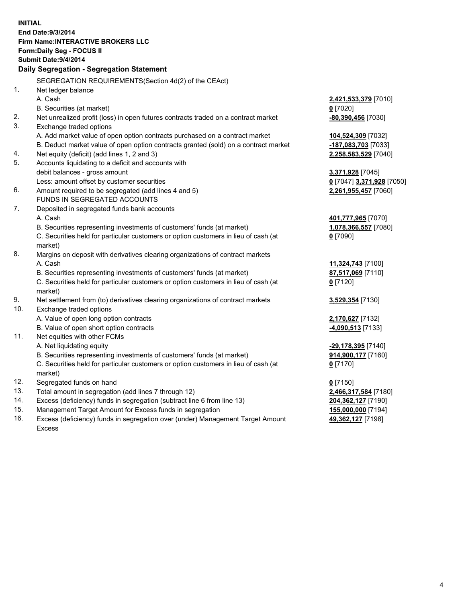**INITIAL End Date:9/3/2014 Firm Name:INTERACTIVE BROKERS LLC Form:Daily Seg - FOCUS II Submit Date:9/4/2014 Daily Segregation - Segregation Statement** SEGREGATION REQUIREMENTS(Section 4d(2) of the CEAct) 1. Net ledger balance A. Cash **2,421,533,379** [7010] B. Securities (at market) **0** [7020] 2. Net unrealized profit (loss) in open futures contracts traded on a contract market **-80,390,456** [7030] 3. Exchange traded options A. Add market value of open option contracts purchased on a contract market **104,524,309** [7032] B. Deduct market value of open option contracts granted (sold) on a contract market **-187,083,703** [7033] 4. Net equity (deficit) (add lines 1, 2 and 3) **2,258,583,529** [7040] 5. Accounts liquidating to a deficit and accounts with debit balances - gross amount **3,371,928** [7045] Less: amount offset by customer securities **0** [7047] **3,371,928** [7050] 6. Amount required to be segregated (add lines 4 and 5) **2,261,955,457** [7060] FUNDS IN SEGREGATED ACCOUNTS 7. Deposited in segregated funds bank accounts A. Cash **401,777,965** [7070] B. Securities representing investments of customers' funds (at market) **1,078,366,557** [7080] C. Securities held for particular customers or option customers in lieu of cash (at market) **0** [7090] 8. Margins on deposit with derivatives clearing organizations of contract markets A. Cash **11,324,743** [7100] B. Securities representing investments of customers' funds (at market) **87,517,069** [7110] C. Securities held for particular customers or option customers in lieu of cash (at market) **0** [7120] 9. Net settlement from (to) derivatives clearing organizations of contract markets **3,529,354** [7130] 10. Exchange traded options A. Value of open long option contracts **2,170,627** [7132] B. Value of open short option contracts **-4,090,513** [7133] 11. Net equities with other FCMs A. Net liquidating equity **-29,178,395** [7140] B. Securities representing investments of customers' funds (at market) **914,900,177** [7160] C. Securities held for particular customers or option customers in lieu of cash (at market) **0** [7170] 12. Segregated funds on hand **0** [7150] 13. Total amount in segregation (add lines 7 through 12) **2,466,317,584** [7180] 14. Excess (deficiency) funds in segregation (subtract line 6 from line 13) **204,362,127** [7190] 15. Management Target Amount for Excess funds in segregation **155,000,000** [7194]

16. Excess (deficiency) funds in segregation over (under) Management Target Amount Excess

**49,362,127** [7198]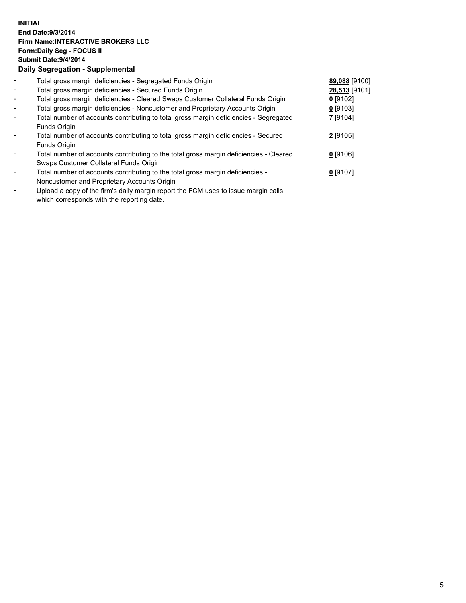## **INITIAL End Date:9/3/2014 Firm Name:INTERACTIVE BROKERS LLC Form:Daily Seg - FOCUS II Submit Date:9/4/2014 Daily Segregation - Supplemental**

| $\overline{\phantom{a}}$ | Total gross margin deficiencies - Segregated Funds Origin                              | 89,088 [9100] |  |
|--------------------------|----------------------------------------------------------------------------------------|---------------|--|
| $\overline{\phantom{a}}$ | Total gross margin deficiencies - Secured Funds Origin                                 | 28,513 [9101] |  |
| $\overline{\phantom{a}}$ | Total gross margin deficiencies - Cleared Swaps Customer Collateral Funds Origin       | $0$ [9102]    |  |
| $\overline{\phantom{a}}$ | Total gross margin deficiencies - Noncustomer and Proprietary Accounts Origin          | $0$ [9103]    |  |
| $\blacksquare$           | Total number of accounts contributing to total gross margin deficiencies - Segregated  | $Z$ [9104]    |  |
|                          | Funds Origin                                                                           |               |  |
|                          | Total number of accounts contributing to total gross margin deficiencies - Secured     | $2$ [9105]    |  |
|                          | Funds Origin                                                                           |               |  |
|                          | Total number of accounts contributing to the total gross margin deficiencies - Cleared | $0$ [9106]    |  |
|                          | Swaps Customer Collateral Funds Origin                                                 |               |  |
| $\blacksquare$           | Total number of accounts contributing to the total gross margin deficiencies -         | $0$ [9107]    |  |
|                          | Noncustomer and Proprietary Accounts Origin                                            |               |  |
|                          |                                                                                        |               |  |

- Upload a copy of the firm's daily margin report the FCM uses to issue margin calls which corresponds with the reporting date.